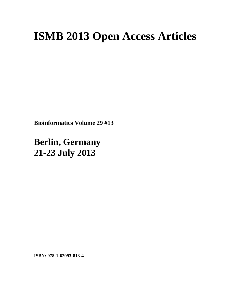## **ISMB 2013 Open Access Articles**

**Bioinformatics Volume 29 #13** 

**Berlin, Germany 21-23 July 2013**

**ISBN: 978-1-62993-813-4**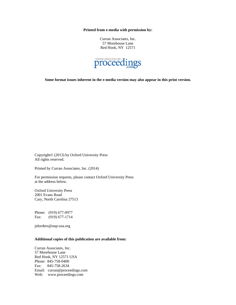**Printed from e-media with permission by:** 

Curran Associates, Inc. 57 Morehouse Lane Red Hook, NY 12571



**Some format issues inherent in the e-media version may also appear in this print version.** 

Copyright© (2013) by Oxford University Press All rights reserved.

Printed by Curran Associates, Inc. (2014)

For permission requests, please contact Oxford University Press at the address below.

Oxford University Press 2001 Evans Road Cary, North Carolina 27513

Phone: (919) 677-0977 Fax: (919) 677-1714

jnlorders@oup-usa.org

## **Additional copies of this publication are available from:**

Curran Associates, Inc. 57 Morehouse Lane Red Hook, NY 12571 USA Phone: 845-758-0400 Fax: 845-758-2634 Email: curran@proceedings.com Web: www.proceedings.com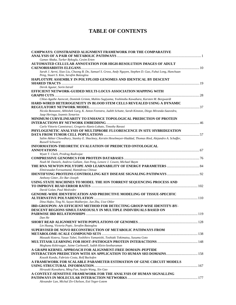## **TABLE OF CONTENTS**

| <b>CAMPWAYS: CONSTRAINED ALIGNMENT FRAMEWORK FOR THE COMPARATIVE</b>                                                                                 |  |
|------------------------------------------------------------------------------------------------------------------------------------------------------|--|
| Gamze Abaka, Turker Bykoglu, Cesim Erten                                                                                                             |  |
| AUTOMATED CELLULAR ANNOTATION FOR HIGH-RESOLUTION IMAGES OF ADULT                                                                                    |  |
|                                                                                                                                                      |  |
| Sarah J. Aerni, Xiao Liu, Chuong B. Do, Samuel S. Gross, Andy Nguyen, Stephen D. Guo, Fuhui Long, Hanchuan<br>Peng, Stuart S. Kim, Serafim Batzoglou |  |
| HAPLOTYPE ASSEMBLY IN POLYPLOID GENOMES AND IDENTICAL BY DESCENT                                                                                     |  |
|                                                                                                                                                      |  |
| Derek Aguiar, Sorin Istrail                                                                                                                          |  |
| EFFICIENT NETWORK-GUIDED MULTI-LOCUS ASSOCIATION MAPPING WITH                                                                                        |  |
|                                                                                                                                                      |  |
| Chloe-Agathe Azencott, Dominik Grimm, Mahito Sugiyama, Yoshinobu Kawahara, Karsten M. Borgwardt                                                      |  |
| HARD-WIRED HETEROGENEITY IN BLOOD STEM CELLS REVEALED USING A DYNAMIC                                                                                |  |
|                                                                                                                                                      |  |
| Nicola Bonzanni, Abhishek Garg, K. Anton Feenstra, Judith Schutte, Sarah Kinston, Diego Miranda-Saavedra,<br>Jaap Heringa, Ioannis Xenarios          |  |
| MINIMUM CURVILINEARITY TO ENHANCE TOPOLOGICAL PREDICTION OF PROTEIN                                                                                  |  |
|                                                                                                                                                      |  |
| Carlo Vittorio Cannistraci, Gregorio Alanis-Lobato, Timothy Ravasi                                                                                   |  |
| PHYLOGENETIC ANALYSIS OF MULTIPROBE FLUORESCENCE IN SITU HYBRIDIZATION                                                                               |  |
|                                                                                                                                                      |  |
| Salim Akhter Chowdhury, Stanley E. Shackney, Kerstin Heselmeyer-Haddad, Thomas Ried, Alejandro A. Schaffer,<br>Russell Schwartz                      |  |
| INFORMATION-THEORETIC EVALUATION OF PREDICTED ONTOLOGICAL                                                                                            |  |
|                                                                                                                                                      |  |
| Wyatt T. Clark, Predrag Radivojac                                                                                                                    |  |
|                                                                                                                                                      |  |
| Noah M. Daniels, Andrew Gallant, Jian Peng, Lenore J. Cowen, Michael Baym                                                                            |  |
|                                                                                                                                                      |  |
| Elmirasadat Forouzmand, Hamidreza Chitsaz                                                                                                            |  |
| <b>IDENTIFYING PROTEINS CONTROLLING KEY DISEASE SIGNALING PATHWAYS  92</b>                                                                           |  |
| Anthony Gitter, Ziv Bar-Joseph                                                                                                                       |  |
| USING STATE MACHINES TO MODEL THE ION TORRENT SEQUENCING PROCESS AND                                                                                 |  |
| David Golan, Paul Medvedev                                                                                                                           |  |
| <b>GENOME-WIDE IDENTIFICATION AND PREDICTIVE MODELING OF TISSUE-SPECIFIC</b>                                                                         |  |
|                                                                                                                                                      |  |
| Dina Hafez, Ting Ni, Sayan Mukherjee, Jun Zhu, Uwe Ohler                                                                                             |  |
| <b>IBD-GROUPON: AN EFFICIENT METHOD FOR DETECTING GROUP-WISE IDENTITY-BY-</b>                                                                        |  |
| DESCENT REGIONS SIMULTANEOUSLY IN MULTIPLE INDIVIDUALS BASED ON                                                                                      |  |
|                                                                                                                                                      |  |
| Dan He                                                                                                                                               |  |
| SHORT READ ALIGNMENT WITH POPULATIONS OF GENOMES                                                                                                     |  |
| Lin Huang, Victoria Popic, Serafim Batzoglou                                                                                                         |  |
| SUPERVISED DE NOVO RECONSTRUCTION OF METABOLIC PATHWAYS FROM                                                                                         |  |
|                                                                                                                                                      |  |
| Masaaki Kotera, Yasuo Tabei, Yoshihiro Yamanishi, Toshiaki Tokimatsu, Susumu Goto                                                                    |  |
|                                                                                                                                                      |  |
| Meghana Kshirsagar, Jaime Carbonell, Judith Klein-Seetharaman                                                                                        |  |
| A GRAPH KERNEL APPROACH FOR ALIGNMENT-FREE DOMAIN-PEPTIDE                                                                                            |  |
|                                                                                                                                                      |  |
| Kousik Kundu, Fabrizio Costa, Rolf Backofen                                                                                                          |  |
| A FRAMEWORK FOR SCALABLE PARAMETER ESTIMATION OF GENE CIRCUIT MODELS                                                                                 |  |
|                                                                                                                                                      |  |
| Hiroyuki Kuwahara, Ming Fan, Suojin Wang, Xin Gao                                                                                                    |  |
| A CONTEXT-SENSITIVE FRAMEWORK FOR THE ANALYSIS OF HUMAN SIGNALLING                                                                                   |  |
|                                                                                                                                                      |  |
| Alexander Lan, Michal Ziv-Ukelson, Esti Yeger-Lotem                                                                                                  |  |